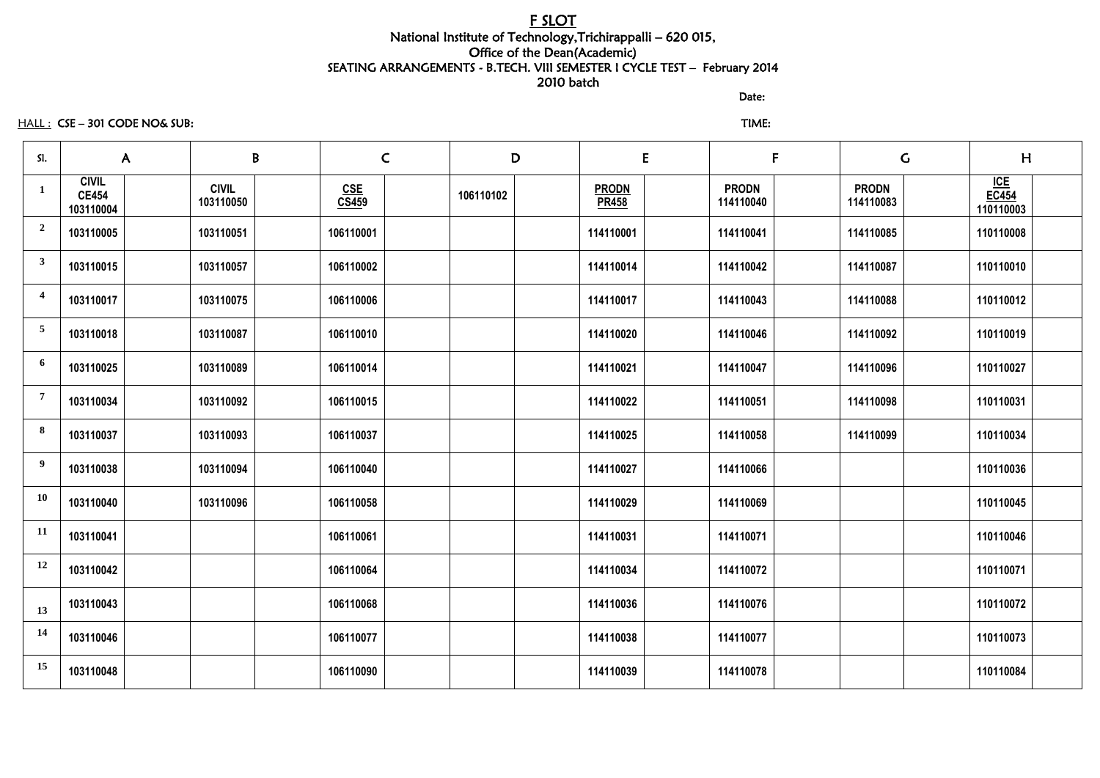## F SLOT National Institute of Technology,Trichirappalli – 620 015, Office of the Dean(Academic) SEATING ARRANGEMENTS - B.TECH. VIII SEMESTER I CYCLE TEST – February 2014 2010 batch

discussion of the contract of the contract of the Date:

## HALL : CSE – 301 CODE NO& SUB: TIME:

| SI.                     | $\mathsf{A}$                              | B<br>$\mathsf{C}$         |                     | D         | E                            | F                         |                           | H<br>$\mathsf C$                 |
|-------------------------|-------------------------------------------|---------------------------|---------------------|-----------|------------------------------|---------------------------|---------------------------|----------------------------------|
| $\mathbf{1}$            | <b>CIVIL</b><br><b>CE454</b><br>103110004 | <b>CIVIL</b><br>103110050 | <u>CSE</u><br>CS459 | 106110102 | <b>PRODN</b><br><b>PR458</b> | <b>PRODN</b><br>114110040 | <b>PRODN</b><br>114110083 | ICE<br><b>EC454</b><br>110110003 |
| $\overline{\mathbf{c}}$ | 103110005                                 | 103110051                 | 106110001           |           | 114110001                    | 114110041                 | 114110085                 | 110110008                        |
| $\mathbf{3}$            | 103110015                                 | 103110057                 | 106110002           |           | 114110014                    | 114110042                 | 114110087                 | 110110010                        |
| $\overline{\mathbf{4}}$ | 103110017                                 | 103110075                 | 106110006           |           | 114110017                    | 114110043                 | 114110088                 | 110110012                        |
| $5\overline{)}$         | 103110018                                 | 103110087                 | 106110010           |           | 114110020                    | 114110046                 | 114110092                 | 110110019                        |
| 6                       | 103110025                                 | 103110089                 | 106110014           |           | 114110021                    | 114110047                 | 114110096                 | 110110027                        |
| $\overline{7}$          | 103110034                                 | 103110092                 | 106110015           |           | 114110022                    | 114110051                 | 114110098                 | 110110031                        |
| 8                       | 103110037                                 | 103110093                 | 106110037           |           | 114110025                    | 114110058                 | 114110099                 | 110110034                        |
| 9                       | 103110038                                 | 103110094                 | 106110040           |           | 114110027                    | 114110066                 |                           | 110110036                        |
| <b>10</b>               | 103110040                                 | 103110096                 | 106110058           |           | 114110029                    | 114110069                 |                           | 110110045                        |
| 11                      | 103110041                                 |                           | 106110061           |           | 114110031                    | 114110071                 |                           | 110110046                        |
| 12                      | 103110042                                 |                           | 106110064           |           | 114110034                    | 114110072                 |                           | 110110071                        |
| 13                      | 103110043                                 |                           | 106110068           |           | 114110036                    | 114110076                 |                           | 110110072                        |
| 14                      | 103110046                                 |                           | 106110077           |           | 114110038                    | 114110077                 |                           | 110110073                        |
| 15                      | 103110048                                 |                           | 106110090           |           | 114110039                    | 114110078                 |                           | 110110084                        |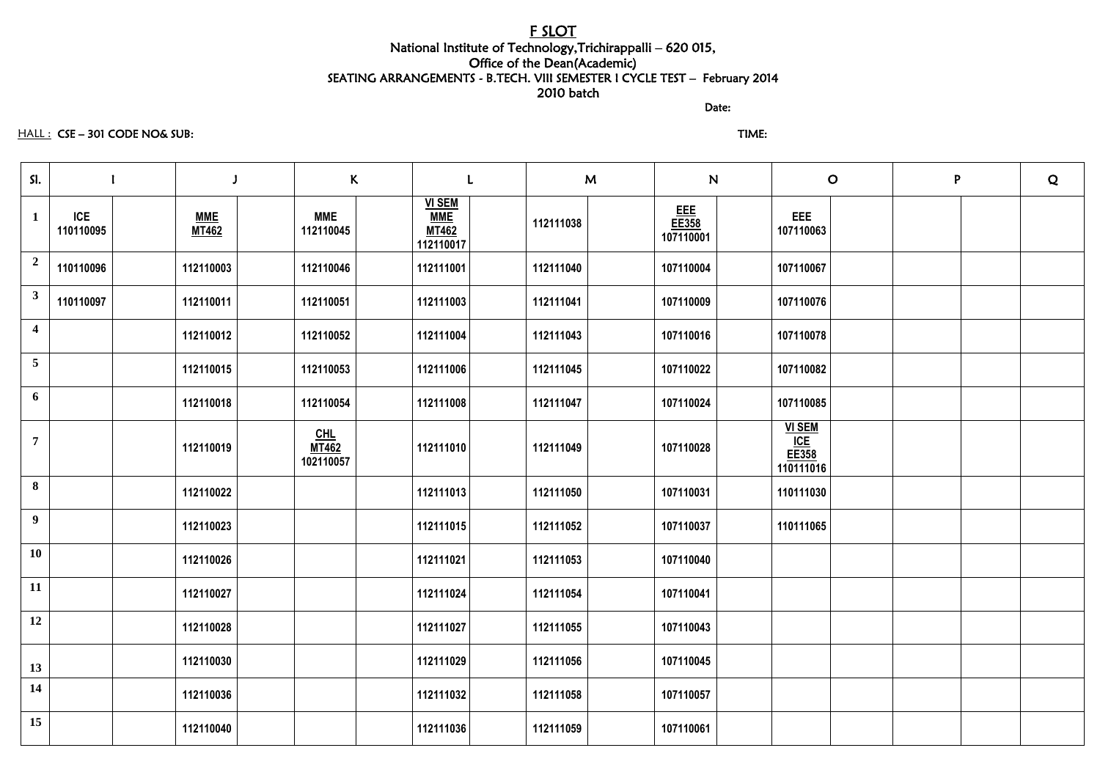## F SLOT National Institute of Technology,Trichirappalli – 620 015, Office of the Dean(Academic) SEATING ARRANGEMENTS - B.TECH. VIII SEMESTER I CYCLE TEST – February 2014 2010 batch

discussion of the contract of the contract of the Date:

#### HALL : CSE – 301 CODE NO& SUB: TIME:

| SI.                     |                                                       |                                    | $\kappa$                                                 | M         | N                         | $\overline{O}$                             | P. | $\mathbf Q$ |
|-------------------------|-------------------------------------------------------|------------------------------------|----------------------------------------------------------|-----------|---------------------------|--------------------------------------------|----|-------------|
| $\mathbf{1}$            | <b>ICE</b><br><b>MME</b><br><b>MT462</b><br>110110095 | <b>MME</b><br>112110045            | <b>VI SEM</b><br><b>MME</b><br><b>MT462</b><br>112110017 | 112111038 | EEE<br>EE358<br>107110001 | EEE<br>107110063                           |    |             |
| $\overline{2}$          | 110110096<br>112110003                                | 112110046                          | 112111001                                                | 112111040 | 107110004                 | 107110067                                  |    |             |
| $\mathbf{3}$            | 110110097<br>112110011                                | 112110051                          | 112111003                                                | 112111041 | 107110009                 | 107110076                                  |    |             |
| $\overline{\mathbf{4}}$ | 112110012                                             | 112110052                          | 112111004                                                | 112111043 | 107110016                 | 107110078                                  |    |             |
| 5 <sup>5</sup>          | 112110015                                             | 112110053                          | 112111006                                                | 112111045 | 107110022                 | 107110082                                  |    |             |
| 6                       | 112110018                                             | 112110054                          | 112111008                                                | 112111047 | 107110024                 | 107110085                                  |    |             |
| $\overline{7}$          | 112110019                                             | $CHL$<br><b>MT462</b><br>102110057 | 112111010                                                | 112111049 | 107110028                 | <b>VI SEM</b><br>ICE<br>EE358<br>110111016 |    |             |
| 8                       | 112110022                                             |                                    | 112111013                                                | 112111050 | 107110031                 | 110111030                                  |    |             |
| 9                       | 112110023                                             |                                    | 112111015                                                | 112111052 | 107110037                 | 110111065                                  |    |             |
| <b>10</b>               | 112110026                                             |                                    | 112111021                                                | 112111053 | 107110040                 |                                            |    |             |
| 11                      | 112110027                                             |                                    | 112111024                                                | 112111054 | 107110041                 |                                            |    |             |
| 12                      | 112110028                                             |                                    | 112111027                                                | 112111055 | 107110043                 |                                            |    |             |
| 13                      | 112110030                                             |                                    | 112111029                                                | 112111056 | 107110045                 |                                            |    |             |
| 14                      | 112110036                                             |                                    | 112111032                                                | 112111058 | 107110057                 |                                            |    |             |
| 15                      | 112110040                                             |                                    | 112111036                                                | 112111059 | 107110061                 |                                            |    |             |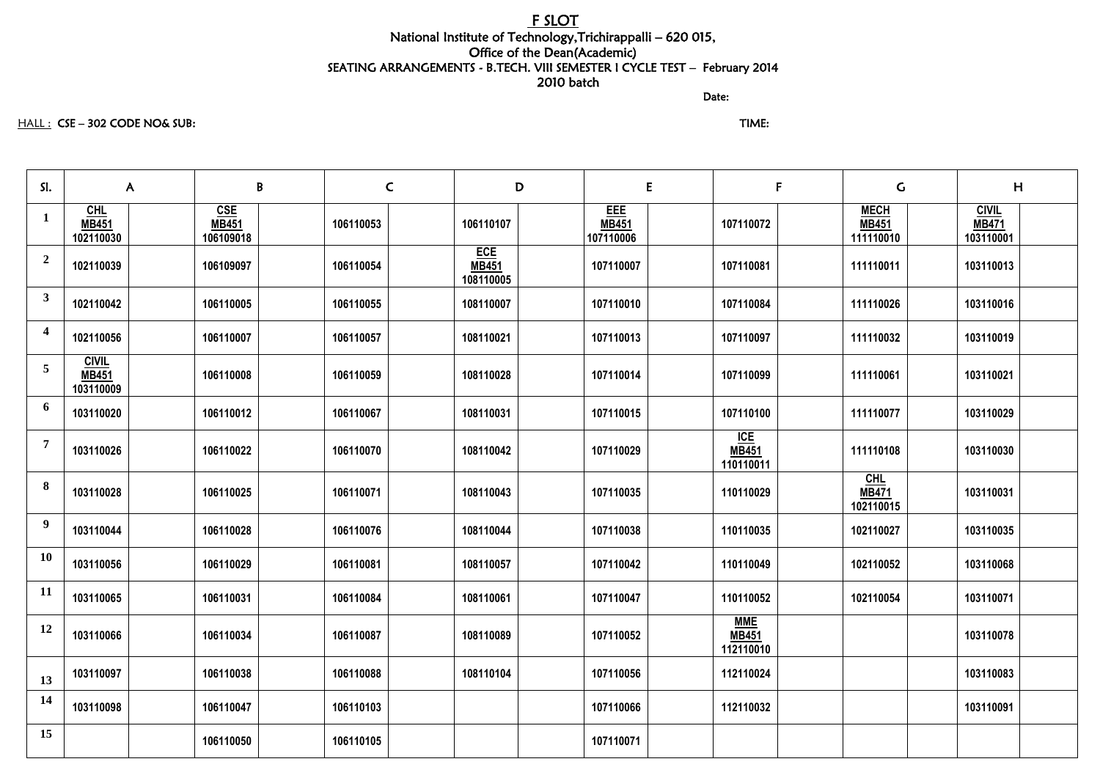## F SLOT National Institute of Technology,Trichirappalli – 620 015, Office of the Dean(Academic) SEATING ARRANGEMENTS - B.TECH. VIII SEMESTER I CYCLE TEST – February 2014 2010 batch

discussion of the contract of the contract of the Date:

## HALL : CSE – 302 CODE NO& SUB: TIME:

| SI.                     | B<br>$\mathsf{A}$                         |                                         | $\mathsf{C}$ | D                                       | E                                       |  | F                                       | $\mathsf C$                              | H                                         |  |
|-------------------------|-------------------------------------------|-----------------------------------------|--------------|-----------------------------------------|-----------------------------------------|--|-----------------------------------------|------------------------------------------|-------------------------------------------|--|
| $\mathbf{1}$            | CHL<br><b>MB451</b><br>102110030          | <b>CSE</b><br><b>MB451</b><br>106109018 | 106110053    | 106110107                               | <b>EEE</b><br><b>MB451</b><br>107110006 |  | 107110072                               | <b>MECH</b><br><b>MB451</b><br>111110010 | <b>CIVIL</b><br><b>MB471</b><br>103110001 |  |
| $\overline{2}$          | 102110039                                 | 106109097                               | 106110054    | <b>ECE</b><br><b>MB451</b><br>108110005 | 107110007                               |  | 107110081                               | 111110011                                | 103110013                                 |  |
| $\mathbf{3}$            | 102110042                                 | 106110005                               | 106110055    | 108110007                               | 107110010                               |  | 107110084                               | 111110026                                | 103110016                                 |  |
| $\overline{\mathbf{4}}$ | 102110056                                 | 106110007                               | 106110057    | 108110021                               | 107110013                               |  | 107110097                               | 111110032                                | 103110019                                 |  |
| $\overline{5}$          | <b>CIVIL</b><br><b>MB451</b><br>103110009 | 106110008                               | 106110059    | 108110028                               | 107110014                               |  | 107110099                               | 111110061                                | 103110021                                 |  |
| 6                       | 103110020                                 | 106110012                               | 106110067    | 108110031                               | 107110015                               |  | 107110100                               | 111110077                                | 103110029                                 |  |
| $\overline{7}$          | 103110026                                 | 106110022                               | 106110070    | 108110042                               | 107110029                               |  | <u>ICE</u><br><b>MB451</b><br>110110011 | 111110108                                | 103110030                                 |  |
| 8                       | 103110028                                 | 106110025                               | 106110071    | 108110043                               | 107110035                               |  | 110110029                               | CHL<br><b>MB471</b><br>102110015         | 103110031                                 |  |
| 9                       | 103110044                                 | 106110028                               | 106110076    | 108110044                               | 107110038                               |  | 110110035                               | 102110027                                | 103110035                                 |  |
| <b>10</b>               | 103110056                                 | 106110029                               | 106110081    | 108110057                               | 107110042                               |  | 110110049                               | 102110052                                | 103110068                                 |  |
| <b>11</b>               | 103110065                                 | 106110031                               | 106110084    | 108110061                               | 107110047                               |  | 110110052                               | 102110054                                | 103110071                                 |  |
| 12                      | 103110066                                 | 106110034                               | 106110087    | 108110089                               | 107110052                               |  | <b>MME</b><br><b>MB451</b><br>112110010 |                                          | 103110078                                 |  |
| 13                      | 103110097                                 | 106110038                               | 106110088    | 108110104                               | 107110056                               |  | 112110024                               |                                          | 103110083                                 |  |
| 14                      | 103110098                                 | 106110047                               | 106110103    |                                         | 107110066                               |  | 112110032                               |                                          | 103110091                                 |  |
| 15                      |                                           | 106110050                               | 106110105    |                                         | 107110071                               |  |                                         |                                          |                                           |  |